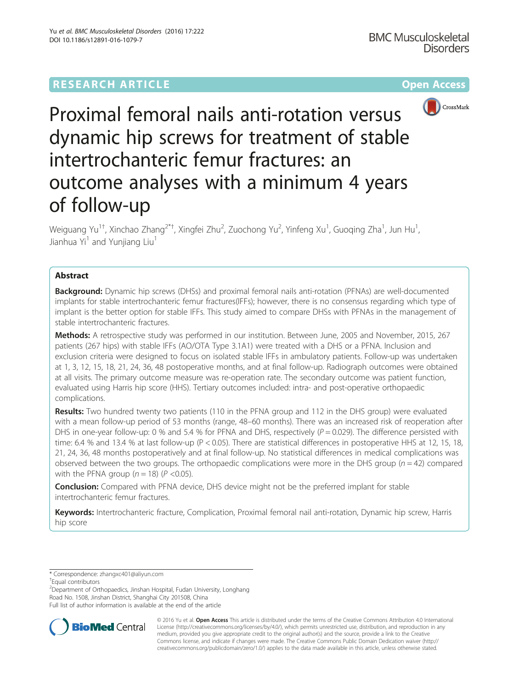# **RESEARCH ARTICLE Example 2014 12:30 The Community Community Community Community Community Community Community**



Proximal femoral nails anti-rotation versus dynamic hip screws for treatment of stable intertrochanteric femur fractures: an outcome analyses with a minimum 4 years of follow-up

Weiguang Yu $^{1\dagger}$ , Xinchao Zhang $^{2\text{*} \dagger}$ , Xingfei Zhu $^2$ , Zuochong Yu $^2$ , Yinfeng Xu $^1$ , Guoqing Zha $^1$ , Jun Hu $^1$ , Jianhua Yi<sup>1</sup> and Yunjiang Liu<sup>1</sup>

## Abstract

**Background:** Dynamic hip screws (DHSs) and proximal femoral nails anti-rotation (PFNAs) are well-documented implants for stable intertrochanteric femur fractures(IFFs); however, there is no consensus regarding which type of implant is the better option for stable IFFs. This study aimed to compare DHSs with PFNAs in the management of stable intertrochanteric fractures.

Methods: A retrospective study was performed in our institution. Between June, 2005 and November, 2015, 267 patients (267 hips) with stable IFFs (AO/OTA Type 3.1A1) were treated with a DHS or a PFNA. Inclusion and exclusion criteria were designed to focus on isolated stable IFFs in ambulatory patients. Follow-up was undertaken at 1, 3, 12, 15, 18, 21, 24, 36, 48 postoperative months, and at final follow-up. Radiograph outcomes were obtained at all visits. The primary outcome measure was re-operation rate. The secondary outcome was patient function, evaluated using Harris hip score (HHS). Tertiary outcomes included: intra- and post-operative orthopaedic complications.

Results: Two hundred twenty two patients (110 in the PFNA group and 112 in the DHS group) were evaluated with a mean follow-up period of 53 months (range, 48–60 months). There was an increased risk of reoperation after DHS in one-year follow-up: 0 % and 5.4 % for PFNA and DHS, respectively  $(P = 0.029)$ . The difference persisted with time: 6.4 % and 13.4 % at last follow-up (P < 0.05). There are statistical differences in postoperative HHS at 12, 15, 18, 21, 24, 36, 48 months postoperatively and at final follow-up. No statistical differences in medical complications was observed between the two groups. The orthopaedic complications were more in the DHS group ( $n = 42$ ) compared with the PFNA group  $(n = 18)$  ( $P < 0.05$ ).

**Conclusion:** Compared with PFNA device, DHS device might not be the preferred implant for stable intertrochanteric femur fractures.

Keywords: Intertrochanteric fracture, Complication, Proximal femoral nail anti-rotation, Dynamic hip screw, Harris hip score

\* Correspondence: [zhangxc401@aliyun.com](mailto:zhangxc401@aliyun.com) †

Equal contributors

<sup>2</sup>Department of Orthopaedics, Jinshan Hospital, Fudan University, Longhang Road No. 1508, Jinshan District, Shanghai City 201508, China Full list of author information is available at the end of the article



© 2016 Yu et al. Open Access This article is distributed under the terms of the Creative Commons Attribution 4.0 International License ([http://creativecommons.org/licenses/by/4.0/\)](http://creativecommons.org/licenses/by/4.0/), which permits unrestricted use, distribution, and reproduction in any medium, provided you give appropriate credit to the original author(s) and the source, provide a link to the Creative Commons license, and indicate if changes were made. The Creative Commons Public Domain Dedication waiver ([http://](http://creativecommons.org/publicdomain/zero/1.0/) [creativecommons.org/publicdomain/zero/1.0/\)](http://creativecommons.org/publicdomain/zero/1.0/) applies to the data made available in this article, unless otherwise stated.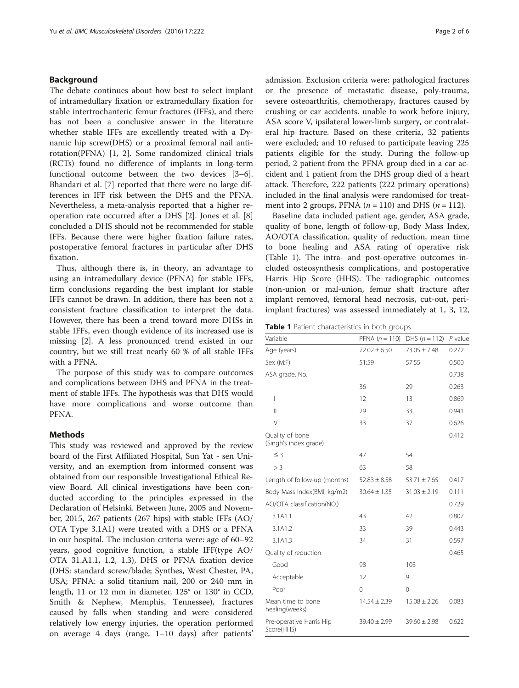## <span id="page-1-0"></span>Background

The debate continues about how best to select implant of intramedullary fixation or extramedullary fixation for stable intertrochanteric femur fractures (IFFs), and there has not been a conclusive answer in the literature whether stable IFFs are excellently treated with a Dynamic hip screw(DHS) or a proximal femoral nail antirotation(PFNA) [[1, 2\]](#page-5-0). Some randomized clinical trials (RCTs) found no difference of implants in long-term functional outcome between the two devices [\[3](#page-5-0)–[6](#page-5-0)]. Bhandari et al. [\[7](#page-5-0)] reported that there were no large differences in IFF risk between the DHS and the PFNA. Nevertheless, a meta-analysis reported that a higher reoperation rate occurred after a DHS [[2\]](#page-5-0). Jones et al. [\[8](#page-5-0)] concluded a DHS should not be recommended for stable IFFs. Because there were higher fixation failure rates, postoperative femoral fractures in particular after DHS fixation.

Thus, although there is, in theory, an advantage to using an intramedullary device (PFNA) for stable IFFs, firm conclusions regarding the best implant for stable IFFs cannot be drawn. In addition, there has been not a consistent fracture classification to interpret the data. However, there has been a trend toward more DHSs in stable IFFs, even though evidence of its increased use is missing [[2\]](#page-5-0). A less pronounced trend existed in our country, but we still treat nearly 60 % of all stable IFFs with a PFNA.

The purpose of this study was to compare outcomes and complications between DHS and PFNA in the treatment of stable IFFs. The hypothesis was that DHS would have more complications and worse outcome than PFNA.

## Methods

This study was reviewed and approved by the review board of the First Affiliated Hospital, Sun Yat - sen University, and an exemption from informed consent was obtained from our responsible Investigational Ethical Review Board. All clinical investigations have been conducted according to the principles expressed in the Declaration of Helsinki. Between June, 2005 and November, 2015, 267 patients (267 hips) with stable IFFs (AO/ OTA Type 3.1A1) were treated with a DHS or a PFNA in our hospital. The inclusion criteria were: age of 60–92 years, good cognitive function, a stable IFF(type AO/ OTA 31.A1.1, 1.2, 1.3), DHS or PFNA fixation device (DHS: standard screw/blade; Synthes, West Chester, PA, USA; PFNA: a solid titanium nail, 200 or 240 mm in length, 11 or 12 mm in diameter, 125° or 130° in CCD, Smith & Nephew, Memphis, Tennessee), fractures caused by falls when standing and were considered relatively low energy injuries, the operation performed on average 4 days (range, 1–10 days) after patients' admission. Exclusion criteria were: pathological fractures or the presence of metastatic disease, poly-trauma, severe osteoarthritis, chemotherapy, fractures caused by crushing or car accidents. unable to work before injury, ASA score V, ipsilateral lower-limb surgery, or contralateral hip fracture. Based on these criteria, 32 patients were excluded; and 10 refused to participate leaving 225 patients eligible for the study. During the follow-up period, 2 patient from the PFNA group died in a car accident and 1 patient from the DHS group died of a heart attack. Therefore, 222 patients (222 primary operations) included in the final analysis were randomised for treatment into 2 groups, PFNA  $(n = 110)$  and DHS  $(n = 112)$ .

Baseline data included patient age, gender, ASA grade, quality of bone, length of follow-up, Body Mass Index, AO/OTA classification, quality of reduction, mean time to bone healing and ASA rating of operative risk (Table 1). The intra- and post-operative outcomes included osteosynthesis complications, and postoperative Harris Hip Score (HHS). The radiographic outcomes (non-union or mal-union, femur shaft fracture after implant removed, femoral head necrosis, cut-out, periimplant fractures) was assessed immediately at 1, 3, 12,

Table 1 Patient characteristics in both groups

| Variable                                 | PFNA $(n = 110)$ | $DHS (n = 112)$  | $P$ value |
|------------------------------------------|------------------|------------------|-----------|
| Age (years)                              | $72.02 \pm 6.50$ | $73.05 \pm 7.48$ | 0.272     |
| Sex (M:F)                                | 51:59            | 57:55            | 0.500     |
| ASA grade, No.                           |                  |                  | 0.738     |
| ı                                        | 36               | 29               | 0.263     |
| $\mathbf{  }$                            | 12               | 13               | 0.869     |
| $\mathbf{III}$                           | 29               | 33               | 0.941     |
| $\mathsf{IV}$                            | 33               | 37               | 0.626     |
| Quality of bone<br>(Singh's index grade) |                  |                  | 0.412     |
| $\leq$ 3                                 | 47               | 54               |           |
| >3                                       | 63               | 58               |           |
| Length of follow-up (months)             | $52.83 \pm 8.58$ | $53.71 + 7.65$   | 0.417     |
| Body Mass Index(BMI, kg/m2)              | $30.64 \pm 1.35$ | $31.03 \pm 2.19$ | 0.111     |
| AO/OTA classification(NO.)               |                  |                  | 0.729     |
| 3.1A1.1                                  | 43               | 42               | 0.807     |
| 3.1A1.2                                  | 33               | 39               | 0.443     |
| 3.1A1.3                                  | 34               | 31               | 0.597     |
| Quality of reduction                     |                  |                  | 0.465     |
| Good                                     | 98               | 103              |           |
| Acceptable                               | 12               | 9                |           |
| Poor                                     | $\Omega$         | $\mathbf 0$      |           |
| Mean time to bone<br>healing(weeks)      | $14.54 \pm 2.39$ | $15.08 \pm 2.26$ | 0.083     |
| Pre-operative Harris Hip<br>Score(HHS)   | $39.40 \pm 2.99$ | $39.60 \pm 2.98$ | 0.622     |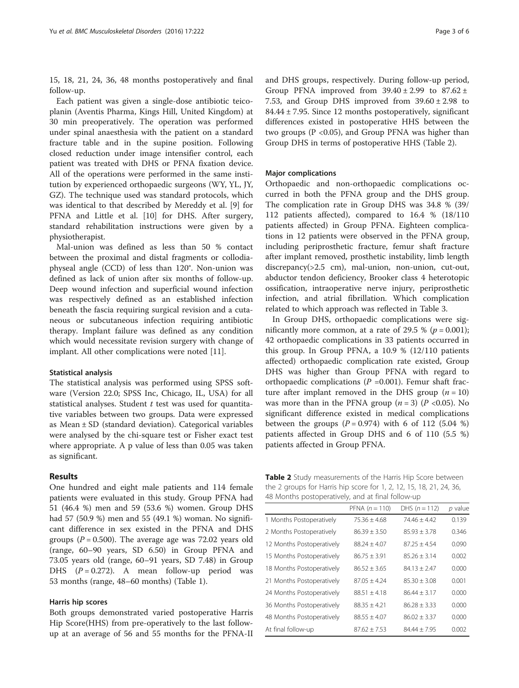<span id="page-2-0"></span>15, 18, 21, 24, 36, 48 months postoperatively and final follow-up.

Each patient was given a single-dose antibiotic teicoplanin (Aventis Pharma, Kings Hill, United Kingdom) at 30 min preoperatively. The operation was performed under spinal anaesthesia with the patient on a standard fracture table and in the supine position. Following closed reduction under image intensifier control, each patient was treated with DHS or PFNA fixation device. All of the operations were performed in the same institution by experienced orthopaedic surgeons (WY, YL, JY, GZ). The technique used was standard protocols, which was identical to that described by Mereddy et al. [\[9](#page-5-0)] for PFNA and Little et al. [\[10](#page-5-0)] for DHS. After surgery, standard rehabilitation instructions were given by a physiotherapist.

Mal-union was defined as less than 50 % contact between the proximal and distal fragments or collodiaphyseal angle (CCD) of less than 120°. Non-union was defined as lack of union after six months of follow-up. Deep wound infection and superficial wound infection was respectively defined as an established infection beneath the fascia requiring surgical revision and a cutaneous or subcutaneous infection requiring antibiotic therapy. Implant failure was defined as any condition which would necessitate revision surgery with change of implant. All other complications were noted [\[11](#page-5-0)].

#### Statistical analysis

The statistical analysis was performed using SPSS software (Version 22.0; SPSS Inc, Chicago, IL, USA) for all statistical analyses. Student  $t$  test was used for quantitative variables between two groups. Data were expressed as Mean ± SD (standard deviation). Categorical variables were analysed by the chi-square test or Fisher exact test where appropriate. A p value of less than 0.05 was taken as significant.

### Results

One hundred and eight male patients and 114 female patients were evaluated in this study. Group PFNA had 51 (46.4 %) men and 59 (53.6 %) women. Group DHS had 57 (50.9 %) men and 55 (49.1 %) woman. No significant difference in sex existed in the PFNA and DHS groups ( $P = 0.500$ ). The average age was 72.02 years old (range, 60–90 years, SD 6.50) in Group PFNA and 73.05 years old (range, 60–91 years, SD 7.48) in Group DHS  $(P = 0.272)$ . A mean follow-up period was 53 months (range, 48–60 months) (Table [1](#page-1-0)).

## Harris hip scores

Both groups demonstrated varied postoperative Harris Hip Score(HHS) from pre-operatively to the last followup at an average of 56 and 55 months for the PFNA-II and DHS groups, respectively. During follow-up period, Group PFNA improved from  $39.40 \pm 2.99$  to  $87.62 \pm$ 7.53, and Group DHS improved from  $39.60 \pm 2.98$  to 84.44 ± 7.95. Since 12 months postoperatively, significant differences existed in postoperative HHS between the two groups (P <0.05), and Group PFNA was higher than Group DHS in terms of postoperative HHS (Table 2).

### Major complications

Orthopaedic and non-orthopaedic complications occurred in both the PFNA group and the DHS group. The complication rate in Group DHS was 34.8 % (39/ 112 patients affected), compared to 16.4 % (18/110 patients affected) in Group PFNA. Eighteen complications in 12 patients were observed in the PFNA group, including periprosthetic fracture, femur shaft fracture after implant removed, prosthetic instability, limb length discrepancy(>2.5 cm), mal-union, non-union, cut-out, abductor tendon deficiency, Brooker class 4 heterotopic ossification, intraoperative nerve injury, periprosthetic infection, and atrial fibrillation. Which complication related to which approach was reflected in Table [3.](#page-3-0)

In Group DHS, orthopaedic complications were significantly more common, at a rate of 29.5 % ( $p = 0.001$ ); 42 orthopaedic complications in 33 patients occurred in this group. In Group PFNA, a 10.9 % (12/110 patients affected) orthopaedic complication rate existed, Group DHS was higher than Group PFNA with regard to orthopaedic complications ( $P = 0.001$ ). Femur shaft fracture after implant removed in the DHS group  $(n = 10)$ was more than in the PFNA group  $(n = 3)$   $(P < 0.05)$ . No significant difference existed in medical complications between the groups  $(P = 0.974)$  with 6 of 112 (5.04 %) patients affected in Group DHS and 6 of 110 (5.5 %) patients affected in Group PFNA.

| Table 2 Study measurements of the Harris Hip Score between          |
|---------------------------------------------------------------------|
| the 2 groups for Harris hip score for 1, 2, 12, 15, 18, 21, 24, 36, |
| 48 Months postoperatively, and at final follow-up                   |

|                           | PFNA $(n = 110)$ | DHS $(n = 112)$  | p value |
|---------------------------|------------------|------------------|---------|
| 1 Months Postoperatively  | $75.36 \pm 4.68$ | $74.46 \pm 4.42$ | 0.139   |
| 2 Months Postoperatively  | $86.39 + 3.50$   | $85.93 + 3.78$   | 0.346   |
| 12 Months Postoperatively | $88.24 + 4.07$   | $87.25 + 4.54$   | 0.090   |
| 15 Months Postoperatively | $86.75 + 3.91$   | $85.26 + 3.14$   | 0.002   |
| 18 Months Postoperatively | $86.52 + 3.65$   | $84.13 + 2.47$   | 0.000   |
| 21 Months Postoperatively | $87.05 + 4.24$   | $85.30 + 3.08$   | 0.001   |
| 24 Months Postoperatively | $88.51 \pm 4.18$ | $86.44 + 3.17$   | 0.000   |
| 36 Months Postoperatively | $88.35 + 4.21$   | $86.28 + 3.33$   | 0.000   |
| 48 Months Postoperatively | $88.55 \pm 4.07$ | $86.02 \pm 3.37$ | 0.000   |
| At final follow-up        | $87.62 + 7.53$   | $84.44 + 7.95$   | 0.002   |
|                           |                  |                  |         |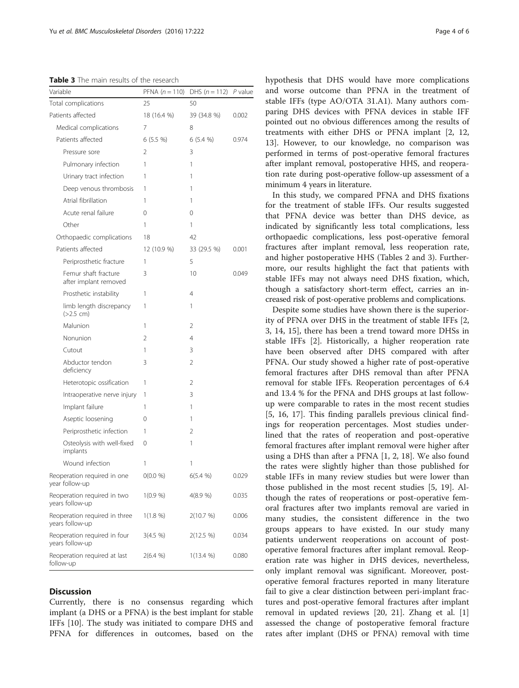<span id="page-3-0"></span>Table 3 The main results of the research

| Variable                                         | PFNA $(n = 110)$ | DHS $(n = 112)$ P value |       |
|--------------------------------------------------|------------------|-------------------------|-------|
| Total complications                              | 25               | 50                      |       |
| Patients affected                                | 18 (16.4 %)      | 39 (34.8 %)             | 0.002 |
| Medical complications                            | 7                | 8                       |       |
| Patients affected                                | $6(5.5\%)$       | 6(5.4%                  | 0.974 |
| Pressure sore                                    | 2                | 3                       |       |
| Pulmonary infection                              | 1                | 1                       |       |
| Urinary tract infection                          | 1                | 1                       |       |
| Deep venous thrombosis                           | 1                | 1                       |       |
| Atrial fibrillation                              | 1                | 1                       |       |
| Acute renal failure                              | 0                | 0                       |       |
| Other                                            | 1                | 1                       |       |
| Orthopaedic complications                        | 18               | 42                      |       |
| Patients affected                                | 12 (10.9 %)      | 33 (29.5 %)             | 0.001 |
| Periprosthetic fracture                          | 1                | 5                       |       |
| Femur shaft fracture<br>after implant removed    | 3                | 10                      | 0.049 |
| Prosthetic instability                           | 1                | 4                       |       |
| limb length discrepancy<br>(>2.5 cm)             | 1                | 1                       |       |
| Malunion                                         | 1                | 2                       |       |
| Nonunion                                         | $\mathfrak{D}$   | 4                       |       |
| Cutout                                           | 1                | 3                       |       |
| Abductor tendon<br>deficiency                    | 3                | 2                       |       |
| Heterotopic ossification                         | 1                | 2                       |       |
| Intraoperative nerve injury                      | 1                | 3                       |       |
| Implant failure                                  | 1                | 1                       |       |
| Aseptic loosening                                | 0                | 1                       |       |
| Periprosthetic infection                         | 1                | 2                       |       |
| Osteolysis with well-fixed<br>implants           | 0                | 1                       |       |
| Wound infection                                  | 1                | 1                       |       |
| Reoperation required in one<br>year follow-up    | O(0.0 %)         | 6(5.4 %)                | 0.029 |
| Reoperation required in two<br>years follow-up   | 1(0.9 %)         | 4(8.9%)                 | 0.035 |
| Reoperation required in three<br>years follow-up | 1(1.8 %)         | 2(10.7 %)               | 0.006 |
| Reoperation required in four<br>years follow-up  | 3(4.5 %)         | 2(12.5 %)               | 0.034 |
| Reoperation required at last<br>follow-up        | 2(6.4 %)         | 1(13.4 %)               | 0.080 |

## **Discussion**

Currently, there is no consensus regarding which implant (a DHS or a PFNA) is the best implant for stable IFFs [[10\]](#page-5-0). The study was initiated to compare DHS and PFNA for differences in outcomes, based on the hypothesis that DHS would have more complications and worse outcome than PFNA in the treatment of stable IFFs (type AO/OTA 31.A1). Many authors comparing DHS devices with PFNA devices in stable IFF pointed out no obvious differences among the results of treatments with either DHS or PFNA implant [\[2](#page-5-0), [12](#page-5-0), [13\]](#page-5-0). However, to our knowledge, no comparison was performed in terms of post-operative femoral fractures after implant removal, postoperative HHS, and reoperation rate during post-operative follow-up assessment of a minimum 4 years in literature.

In this study, we compared PFNA and DHS fixations for the treatment of stable IFFs. Our results suggested that PFNA device was better than DHS device, as indicated by significantly less total complications, less orthopaedic complications, less post-operative femoral fractures after implant removal, less reoperation rate, and higher postoperative HHS (Tables [2](#page-2-0) and 3). Furthermore, our results highlight the fact that patients with stable IFFs may not always need DHS fixation, which, though a satisfactory short-term effect, carries an increased risk of post-operative problems and complications.

Despite some studies have shown there is the superiority of PFNA over DHS in the treatment of stable IFFs [[2](#page-5-0), [3, 14](#page-5-0), [15](#page-5-0)], there has been a trend toward more DHSs in stable IFFs [\[2](#page-5-0)]. Historically, a higher reoperation rate have been observed after DHS compared with after PFNA. Our study showed a higher rate of post-operative femoral fractures after DHS removal than after PFNA removal for stable IFFs. Reoperation percentages of 6.4 and 13.4 % for the PFNA and DHS groups at last followup were comparable to rates in the most recent studies [[5, 16, 17\]](#page-5-0). This finding parallels previous clinical findings for reoperation percentages. Most studies underlined that the rates of reoperation and post-operative femoral fractures after implant removal were higher after using a DHS than after a PFNA [[1](#page-5-0), [2](#page-5-0), [18](#page-5-0)]. We also found the rates were slightly higher than those published for stable IFFs in many review studies but were lower than those published in the most recent studies [[5, 19\]](#page-5-0). Although the rates of reoperations or post-operative femoral fractures after two implants removal are varied in many studies, the consistent difference in the two groups appears to have existed. In our study many patients underwent reoperations on account of postoperative femoral fractures after implant removal. Reoperation rate was higher in DHS devices, nevertheless, only implant removal was significant. Moreover, postoperative femoral fractures reported in many literature fail to give a clear distinction between peri-implant fractures and post-operative femoral fractures after implant removal in updated reviews [\[20, 21\]](#page-5-0). Zhang et al. [\[1](#page-5-0)] assessed the change of postoperative femoral fracture rates after implant (DHS or PFNA) removal with time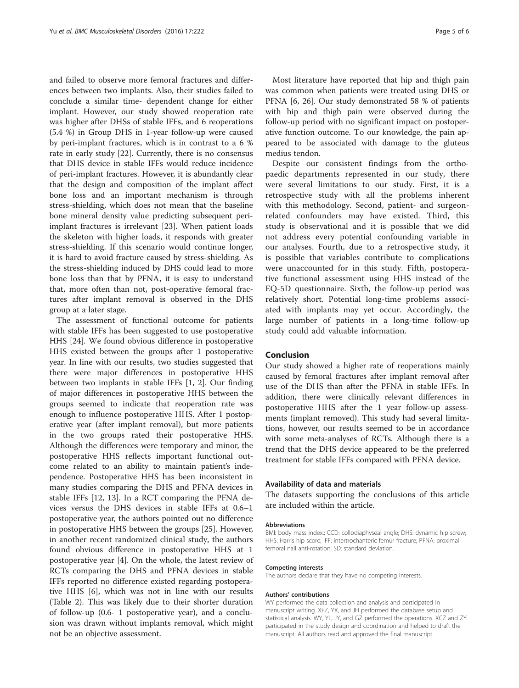and failed to observe more femoral fractures and differences between two implants. Also, their studies failed to conclude a similar time- dependent change for either implant. However, our study showed reoperation rate was higher after DHSs of stable IFFs, and 6 reoperations (5.4 %) in Group DHS in 1-year follow-up were caused by peri-implant fractures, which is in contrast to a 6 % rate in early study [\[22\]](#page-5-0). Currently, there is no consensus that DHS device in stable IFFs would reduce incidence of peri-implant fractures. However, it is abundantly clear that the design and composition of the implant affect bone loss and an important mechanism is through stress-shielding, which does not mean that the baseline bone mineral density value predicting subsequent periimplant fractures is irrelevant [[23](#page-5-0)]. When patient loads the skeleton with higher loads, it responds with greater stress-shielding. If this scenario would continue longer, it is hard to avoid fracture caused by stress-shielding. As the stress-shielding induced by DHS could lead to more bone loss than that by PFNA, it is easy to understand that, more often than not, post-operative femoral fractures after implant removal is observed in the DHS group at a later stage.

The assessment of functional outcome for patients with stable IFFs has been suggested to use postoperative HHS [\[24](#page-5-0)]. We found obvious difference in postoperative HHS existed between the groups after 1 postoperative year. In line with our results, two studies suggested that there were major differences in postoperative HHS between two implants in stable IFFs [\[1, 2\]](#page-5-0). Our finding of major differences in postoperative HHS between the groups seemed to indicate that reoperation rate was enough to influence postoperative HHS. After 1 postoperative year (after implant removal), but more patients in the two groups rated their postoperative HHS. Although the differences were temporary and minor, the postoperative HHS reflects important functional outcome related to an ability to maintain patient's independence. Postoperative HHS has been inconsistent in many studies comparing the DHS and PFNA devices in stable IFFs [[12, 13](#page-5-0)]. In a RCT comparing the PFNA devices versus the DHS devices in stable IFFs at 0.6–1 postoperative year, the authors pointed out no difference in postoperative HHS between the groups [\[25](#page-5-0)]. However, in another recent randomized clinical study, the authors found obvious difference in postoperative HHS at 1 postoperative year [[4\]](#page-5-0). On the whole, the latest review of RCTs comparing the DHS and PFNA devices in stable IFFs reported no difference existed regarding postoperative HHS [[6\]](#page-5-0), which was not in line with our results (Table [2](#page-2-0)). This was likely due to their shorter duration of follow-up (0.6- 1 postoperative year), and a conclusion was drawn without implants removal, which might not be an objective assessment.

Most literature have reported that hip and thigh pain was common when patients were treated using DHS or PFNA [\[6](#page-5-0), [26\]](#page-5-0). Our study demonstrated 58 % of patients with hip and thigh pain were observed during the follow-up period with no significant impact on postoperative function outcome. To our knowledge, the pain appeared to be associated with damage to the gluteus medius tendon.

Despite our consistent findings from the orthopaedic departments represented in our study, there were several limitations to our study. First, it is a retrospective study with all the problems inherent with this methodology. Second, patient- and surgeonrelated confounders may have existed. Third, this study is observational and it is possible that we did not address every potential confounding variable in our analyses. Fourth, due to a retrospective study, it is possible that variables contribute to complications were unaccounted for in this study. Fifth, postoperative functional assessment using HHS instead of the EQ-5D questionnaire. Sixth, the follow-up period was relatively short. Potential long-time problems associated with implants may yet occur. Accordingly, the large number of patients in a long-time follow-up study could add valuable information.

## Conclusion

Our study showed a higher rate of reoperations mainly caused by femoral fractures after implant removal after use of the DHS than after the PFNA in stable IFFs. In addition, there were clinically relevant differences in postoperative HHS after the 1 year follow-up assessments (implant removed). This study had several limitations, however, our results seemed to be in accordance with some meta-analyses of RCTs. Although there is a trend that the DHS device appeared to be the preferred treatment for stable IFFs compared with PFNA device.

## Availability of data and materials

The datasets supporting the conclusions of this article are included within the article.

#### Abbreviations

BMI: body mass index.; CCD: collodiaphyseal angle; DHS: dynamic hip screw; HHS: Harris hip score; IFF: intertrochanteric femur fracture; PFNA: proximal femoral nail anti-rotation; SD: standard deviation.

#### Competing interests

The authors declare that they have no competing interests.

#### Authors' contributions

WY performed the data collection and analysis and participated in manuscript writing. XFZ, YX, and JH performed the database setup and statistical analysis. WY, YL, JY, and GZ performed the operations. XCZ and ZY participated in the study design and coordination and helped to draft the manuscript. All authors read and approved the final manuscript.